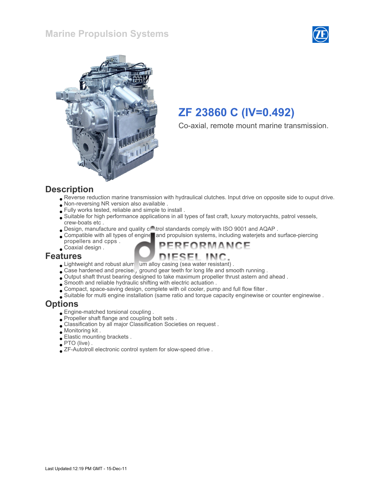#### Marine Propulsion Systems





# ZF 23860 C (IV=0.492)

Co-axial, remote mount marine transmission.

#### **Description**

Reverse reduction marine transmission with hydraulical clutches. Input drive on opposite side to ouput drive.

FORMANCE

- Non-reversing NR version also available .
- Fully works tested, reliable and simple to install .
- Suitable for high performance applications in all types of fast craft, luxury motoryachts, patrol vessels, crew-boats etc .
- . Design, manufacture and quality control standards comply with ISO 9001 and AQAP.
- Compatible with all types of engine and propulsion systems, including waterjets and surface-piercing
- propellers and cpps . Coaxial design .

#### Features

- Lightweight and robust alum um alloy casing (sea water resistant).
- Case hardened and precisel, ground gear teeth for long life and smooth running.
- Output shaft thrust bearing designed to take maximum propeller thrust astern and ahead .
- Smooth and reliable hydraulic shifting with electric actuation .
- Compact, space-saving design, complete with oil cooler, pump and full flow filter .
- Suitable for multi engine installation (same ratio and torque capacity enginewise or counter enginewise .

#### **Options**

- Engine-matched torsional coupling .
- Propeller shaft flange and coupling bolt sets .
- Classification by all major Classification Societies on request .
- Monitoring kit .
- Elastic mounting brackets .
- PTO (live) .
- ZF-Autotroll electronic control system for slow-speed drive .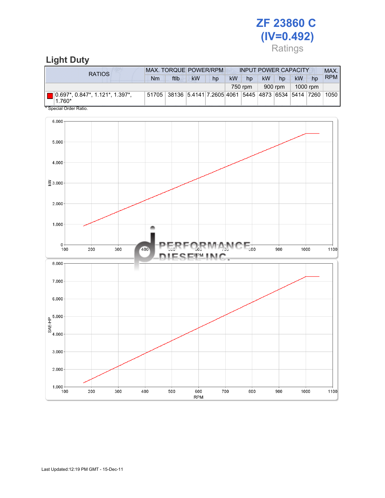# ZF 23860 C (IV=0.492) Ratings

### Light Duty

| RATIOS                                                                                                    | <b>MAX. TORQUE POWER/RPM</b><br><b>INPUT POWER CAPACITY</b> |                                                         |           |    |           |    |           |    |    |    | MAX.       |
|-----------------------------------------------------------------------------------------------------------|-------------------------------------------------------------|---------------------------------------------------------|-----------|----|-----------|----|-----------|----|----|----|------------|
|                                                                                                           | Nm                                                          | ftlb                                                    | <b>kW</b> | hp | <b>kW</b> | hp | <b>kW</b> | hp | kW | hp | <b>RPM</b> |
| 1000 rpm<br>900 rpm<br>750 rpm                                                                            |                                                             |                                                         |           |    |           |    |           |    |    |    |            |
| 10.697*, 0.847*, 1.121*, 1.397*,<br>$1.760*$<br>$\mathbf{A} \cap \mathbf{A}$ $\mathbf{A} \cap \mathbf{A}$ |                                                             | 51705 38136 5.4141 7.2605 4061 5445 4873 6534 5414 7260 |           |    |           |    |           |    |    |    | 1050       |

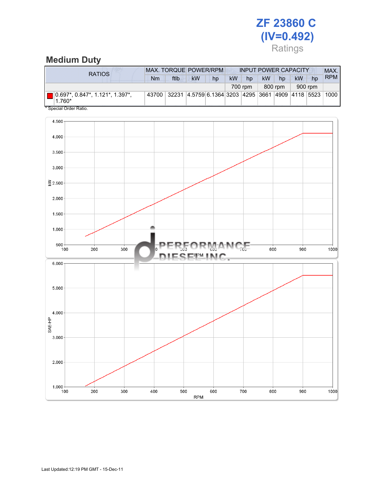# ZF 23860 C (IV=0.492) Ratings

# Medium Duty

| RATIOS                                                                                                  | <b>MAX. TORQUE POWER/RPM</b><br><b>INPUT POWER CAPACITY</b> |             |                                                         |    |           |         |           |         |    | MAX.    |            |
|---------------------------------------------------------------------------------------------------------|-------------------------------------------------------------|-------------|---------------------------------------------------------|----|-----------|---------|-----------|---------|----|---------|------------|
|                                                                                                         | Nm                                                          | ftlb        | <b>kW</b>                                               | hp | <b>kW</b> | hp      | <b>kW</b> | hp      | kW | hp      | <b>RPM</b> |
|                                                                                                         |                                                             |             |                                                         |    |           | 700 rpm |           | 800 rpm |    | 900 rpm |            |
| 10.697*, 0.847*, 1.121*, 1.397*,<br>1.760*<br>$\mathbf{A} \cap \mathbf{A}$ $\mathbf{A} \cap \mathbf{A}$ |                                                             | 43700 32231 | 4.5759 6.1364 3203  4295  3661  4909  4118  5523   1000 |    |           |         |           |         |    |         |            |

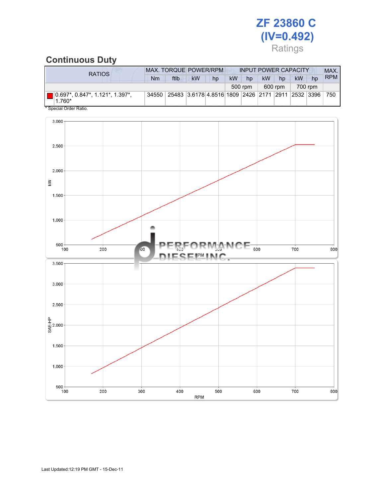# ZF 23860 C (IV=0.492) Ratings

### Continuous Duty

| RATIOS                                                                                                    | <b>MAX. TORQUE POWER/RPM</b><br><b>INPUT POWER CAPACITY</b> |                                                   |           |         |           |         |           |    |    |    | MAX.       |
|-----------------------------------------------------------------------------------------------------------|-------------------------------------------------------------|---------------------------------------------------|-----------|---------|-----------|---------|-----------|----|----|----|------------|
|                                                                                                           | Nm                                                          | ftlb                                              | <b>kW</b> | hp      | <b>kW</b> | hp      | <b>kW</b> | hp | kW | hp | <b>RPM</b> |
|                                                                                                           |                                                             | 500 rpm                                           |           | 600 rpm |           | 700 rpm |           |    |    |    |            |
| 10.697*, 0.847*, 1.121*, 1.397*,<br>$1.760*$<br>$\mathbf{A} \cap \mathbf{A}$ $\mathbf{A} \cap \mathbf{A}$ | 34550                                                       | 25483 3.6178 4.8516 1809 2426 2171 2911 2532 3396 |           |         |           |         |           |    |    |    | 750        |

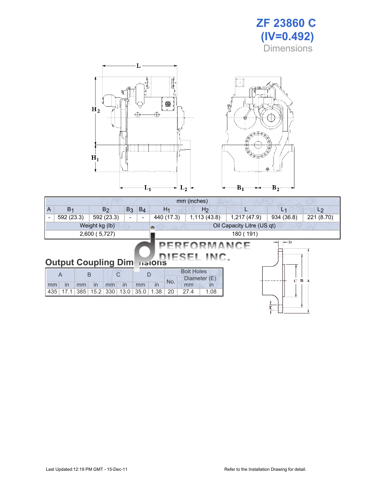



| mm (inches)                                                                                     |                            |                                                              |      |             |                |                    |  |                |                          |  |  |  |
|-------------------------------------------------------------------------------------------------|----------------------------|--------------------------------------------------------------|------|-------------|----------------|--------------------|--|----------------|--------------------------|--|--|--|
| $\overline{A}$                                                                                  | B <sub>1</sub>             | B <sub>2</sub>                                               |      | $B_3$ $B_4$ | H <sub>1</sub> | H <sub>2</sub>     |  | L <sub>1</sub> |                          |  |  |  |
| $\overline{\phantom{a}}$                                                                        | 592 (23.3)                 | 440 (17.3)<br>1,113(43.8)<br>1,217 (47.9)<br>592 (23.3)<br>۰ |      |             |                |                    |  |                | 934 (36.8)<br>221 (8.70) |  |  |  |
| Weight kg (lb)<br>Oil Capacity Litre (US qt)                                                    |                            |                                                              |      |             |                |                    |  |                |                          |  |  |  |
|                                                                                                 | 2,600 (5,727)<br>180 (191) |                                                              |      |             |                |                    |  |                |                          |  |  |  |
| $\leftarrow$ D<br>—<br>PERFORMANCE<br>IESEL INC.<br><b>Output Coupling Dimensions</b>           |                            |                                                              |      |             |                |                    |  |                |                          |  |  |  |
| <b>Bolt Holes</b><br>B<br>C<br>D<br>$\overline{A}$<br>Diameter (E)<br>B A<br>$\mathbf C$<br>No. |                            |                                                              |      |             |                |                    |  |                |                          |  |  |  |
| mm                                                                                              | in<br>mm                   | in<br>mm                                                     | in   | mm          | in             | mm<br>$\mathsf{I}$ |  |                |                          |  |  |  |
| 435                                                                                             | 17.1<br>385                | 15.2<br>330                                                  | 13.0 | 35.0        | 1.38<br>20     | 27.4<br>1.08       |  |                |                          |  |  |  |
|                                                                                                 |                            |                                                              |      |             |                |                    |  | E              |                          |  |  |  |